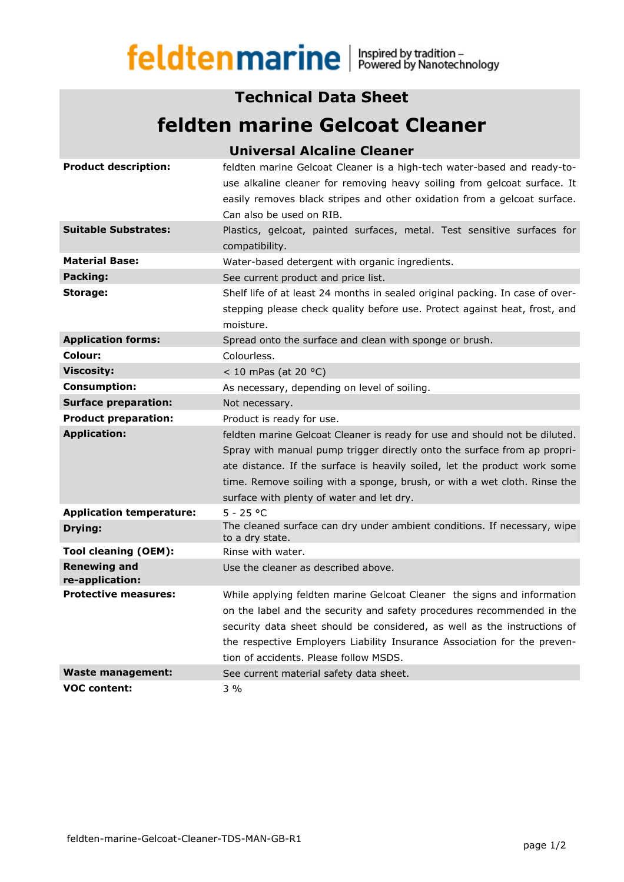## feldtenmarine | Inspired by tradition -

## **Technical Data Sheet**

## **feldten marine Gelcoat Cleaner**

|                                        | <b>Universal Alcaline Cleaner</b>                                                                                                                   |
|----------------------------------------|-----------------------------------------------------------------------------------------------------------------------------------------------------|
| <b>Product description:</b>            | feldten marine Gelcoat Cleaner is a high-tech water-based and ready-to-<br>use alkaline cleaner for removing heavy soiling from gelcoat surface. It |
|                                        | easily removes black stripes and other oxidation from a gelcoat surface.                                                                            |
|                                        | Can also be used on RIB.                                                                                                                            |
| <b>Suitable Substrates:</b>            |                                                                                                                                                     |
|                                        | Plastics, gelcoat, painted surfaces, metal. Test sensitive surfaces for<br>compatibility.                                                           |
| <b>Material Base:</b>                  | Water-based detergent with organic ingredients.                                                                                                     |
| Packing:                               | See current product and price list.                                                                                                                 |
| Storage:                               | Shelf life of at least 24 months in sealed original packing. In case of over-                                                                       |
|                                        | stepping please check quality before use. Protect against heat, frost, and                                                                          |
|                                        | moisture.                                                                                                                                           |
| <b>Application forms:</b>              | Spread onto the surface and clean with sponge or brush.                                                                                             |
| Colour:                                | Colourless.                                                                                                                                         |
| <b>Viscosity:</b>                      | < 10 mPas (at 20 $^{\circ}$ C)                                                                                                                      |
| <b>Consumption:</b>                    | As necessary, depending on level of soiling.                                                                                                        |
| <b>Surface preparation:</b>            | Not necessary.                                                                                                                                      |
| <b>Product preparation:</b>            | Product is ready for use.                                                                                                                           |
| <b>Application:</b>                    | feldten marine Gelcoat Cleaner is ready for use and should not be diluted.                                                                          |
|                                        | Spray with manual pump trigger directly onto the surface from ap propri-                                                                            |
|                                        | ate distance. If the surface is heavily soiled, let the product work some                                                                           |
|                                        | time. Remove soiling with a sponge, brush, or with a wet cloth. Rinse the                                                                           |
|                                        | surface with plenty of water and let dry.                                                                                                           |
| <b>Application temperature:</b>        | $5 - 25 °C$                                                                                                                                         |
| Drying:                                | The cleaned surface can dry under ambient conditions. If necessary, wipe<br>to a dry state.                                                         |
| <b>Tool cleaning (OEM):</b>            | Rinse with water.                                                                                                                                   |
| <b>Renewing and</b><br>re-application: | Use the cleaner as described above.                                                                                                                 |
| <b>Protective measures:</b>            | While applying feldten marine Gelcoat Cleaner the signs and information                                                                             |
|                                        | on the label and the security and safety procedures recommended in the                                                                              |
|                                        | security data sheet should be considered, as well as the instructions of                                                                            |
|                                        | the respective Employers Liability Insurance Association for the preven-                                                                            |
|                                        | tion of accidents. Please follow MSDS.                                                                                                              |
| <b>Waste management:</b>               | See current material safety data sheet.                                                                                                             |
| <b>VOC content:</b>                    | $3\%$                                                                                                                                               |